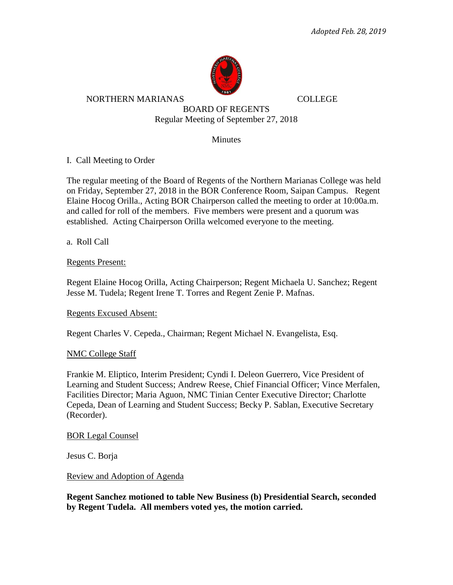

NORTHERN MARIANAS COLLEGE

BOARD OF REGENTS Regular Meeting of September 27, 2018

**Minutes** 

I. Call Meeting to Order

The regular meeting of the Board of Regents of the Northern Marianas College was held on Friday, September 27, 2018 in the BOR Conference Room, Saipan Campus. Regent Elaine Hocog Orilla., Acting BOR Chairperson called the meeting to order at 10:00a.m. and called for roll of the members. Five members were present and a quorum was established. Acting Chairperson Orilla welcomed everyone to the meeting.

a. Roll Call

Regents Present:

Regent Elaine Hocog Orilla, Acting Chairperson; Regent Michaela U. Sanchez; Regent Jesse M. Tudela; Regent Irene T. Torres and Regent Zenie P. Mafnas.

### Regents Excused Absent:

Regent Charles V. Cepeda., Chairman; Regent Michael N. Evangelista, Esq.

#### NMC College Staff

Frankie M. Eliptico, Interim President; Cyndi I. Deleon Guerrero, Vice President of Learning and Student Success; Andrew Reese, Chief Financial Officer; Vince Merfalen, Facilities Director; Maria Aguon, NMC Tinian Center Executive Director; Charlotte Cepeda, Dean of Learning and Student Success; Becky P. Sablan, Executive Secretary (Recorder).

BOR Legal Counsel

Jesus C. Borja

Review and Adoption of Agenda

**Regent Sanchez motioned to table New Business (b) Presidential Search, seconded by Regent Tudela. All members voted yes, the motion carried.**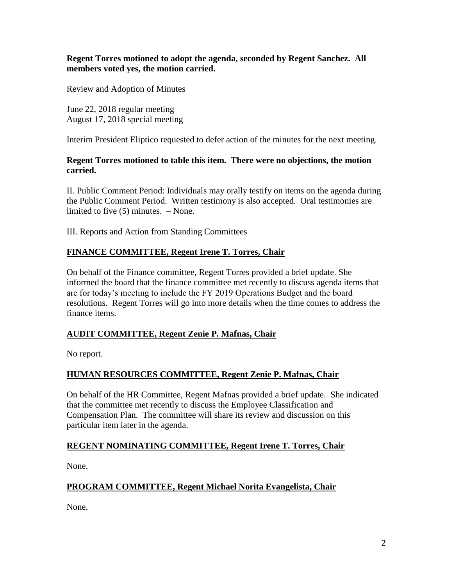**Regent Torres motioned to adopt the agenda, seconded by Regent Sanchez. All members voted yes, the motion carried.** 

### Review and Adoption of Minutes

June 22, 2018 regular meeting August 17, 2018 special meeting

Interim President Eliptico requested to defer action of the minutes for the next meeting.

### **Regent Torres motioned to table this item. There were no objections, the motion carried.**

II. Public Comment Period: Individuals may orally testify on items on the agenda during the Public Comment Period. Written testimony is also accepted. Oral testimonies are limited to five (5) minutes. – None.

III. Reports and Action from Standing Committees

# **FINANCE COMMITTEE, Regent Irene T. Torres, Chair**

On behalf of the Finance committee, Regent Torres provided a brief update. She informed the board that the finance committee met recently to discuss agenda items that are for today's meeting to include the FY 2019 Operations Budget and the board resolutions. Regent Torres will go into more details when the time comes to address the finance items.

## **AUDIT COMMITTEE, Regent Zenie P. Mafnas, Chair**

No report.

## **HUMAN RESOURCES COMMITTEE, Regent Zenie P. Mafnas, Chair**

On behalf of the HR Committee, Regent Mafnas provided a brief update. She indicated that the committee met recently to discuss the Employee Classification and Compensation Plan. The committee will share its review and discussion on this particular item later in the agenda.

## **REGENT NOMINATING COMMITTEE, Regent Irene T. Torres, Chair**

None.

## **PROGRAM COMMITTEE, Regent Michael Norita Evangelista, Chair**

None.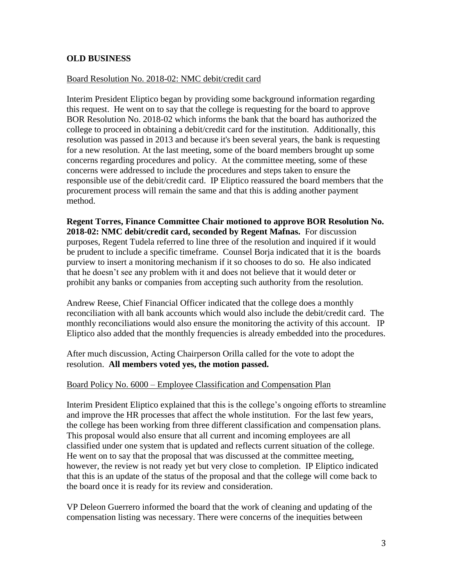### **OLD BUSINESS**

### Board Resolution No. 2018-02: NMC debit/credit card

Interim President Eliptico began by providing some background information regarding this request. He went on to say that the college is requesting for the board to approve BOR Resolution No. 2018-02 which informs the bank that the board has authorized the college to proceed in obtaining a debit/credit card for the institution. Additionally, this resolution was passed in 2013 and because it's been several years, the bank is requesting for a new resolution. At the last meeting, some of the board members brought up some concerns regarding procedures and policy. At the committee meeting, some of these concerns were addressed to include the procedures and steps taken to ensure the responsible use of the debit/credit card. IP Eliptico reassured the board members that the procurement process will remain the same and that this is adding another payment method.

**Regent Torres, Finance Committee Chair motioned to approve BOR Resolution No. 2018-02: NMC debit/credit card, seconded by Regent Mafnas.** For discussion purposes, Regent Tudela referred to line three of the resolution and inquired if it would be prudent to include a specific timeframe. Counsel Borja indicated that it is the boards purview to insert a monitoring mechanism if it so chooses to do so. He also indicated that he doesn't see any problem with it and does not believe that it would deter or prohibit any banks or companies from accepting such authority from the resolution.

Andrew Reese, Chief Financial Officer indicated that the college does a monthly reconciliation with all bank accounts which would also include the debit/credit card. The monthly reconciliations would also ensure the monitoring the activity of this account. IP Eliptico also added that the monthly frequencies is already embedded into the procedures.

After much discussion, Acting Chairperson Orilla called for the vote to adopt the resolution. **All members voted yes, the motion passed.** 

### Board Policy No. 6000 – Employee Classification and Compensation Plan

Interim President Eliptico explained that this is the college's ongoing efforts to streamline and improve the HR processes that affect the whole institution. For the last few years, the college has been working from three different classification and compensation plans. This proposal would also ensure that all current and incoming employees are all classified under one system that is updated and reflects current situation of the college. He went on to say that the proposal that was discussed at the committee meeting, however, the review is not ready yet but very close to completion. IP Eliptico indicated that this is an update of the status of the proposal and that the college will come back to the board once it is ready for its review and consideration.

VP Deleon Guerrero informed the board that the work of cleaning and updating of the compensation listing was necessary. There were concerns of the inequities between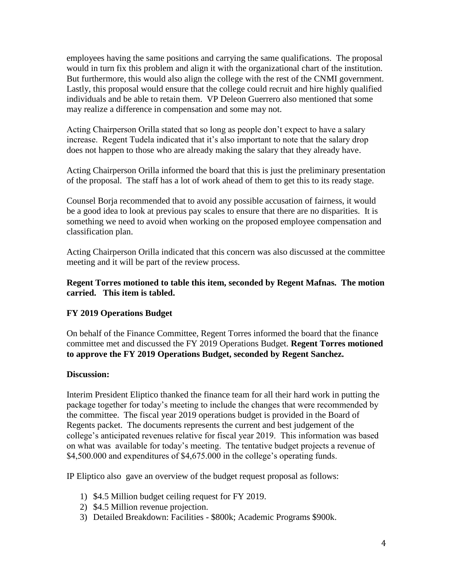employees having the same positions and carrying the same qualifications. The proposal would in turn fix this problem and align it with the organizational chart of the institution. But furthermore, this would also align the college with the rest of the CNMI government. Lastly, this proposal would ensure that the college could recruit and hire highly qualified individuals and be able to retain them. VP Deleon Guerrero also mentioned that some may realize a difference in compensation and some may not.

Acting Chairperson Orilla stated that so long as people don't expect to have a salary increase. Regent Tudela indicated that it's also important to note that the salary drop does not happen to those who are already making the salary that they already have.

Acting Chairperson Orilla informed the board that this is just the preliminary presentation of the proposal. The staff has a lot of work ahead of them to get this to its ready stage.

Counsel Borja recommended that to avoid any possible accusation of fairness, it would be a good idea to look at previous pay scales to ensure that there are no disparities. It is something we need to avoid when working on the proposed employee compensation and classification plan.

Acting Chairperson Orilla indicated that this concern was also discussed at the committee meeting and it will be part of the review process.

### **Regent Torres motioned to table this item, seconded by Regent Mafnas. The motion carried. This item is tabled.**

## **FY 2019 Operations Budget**

On behalf of the Finance Committee, Regent Torres informed the board that the finance committee met and discussed the FY 2019 Operations Budget. **Regent Torres motioned to approve the FY 2019 Operations Budget, seconded by Regent Sanchez.** 

### **Discussion:**

Interim President Eliptico thanked the finance team for all their hard work in putting the package together for today's meeting to include the changes that were recommended by the committee. The fiscal year 2019 operations budget is provided in the Board of Regents packet. The documents represents the current and best judgement of the college's anticipated revenues relative for fiscal year 2019. This information was based on what was available for today's meeting. The tentative budget projects a revenue of \$4,500.000 and expenditures of \$4,675.000 in the college's operating funds.

IP Eliptico also gave an overview of the budget request proposal as follows:

- 1) \$4.5 Million budget ceiling request for FY 2019.
- 2) \$4.5 Million revenue projection.
- 3) Detailed Breakdown: Facilities \$800k; Academic Programs \$900k.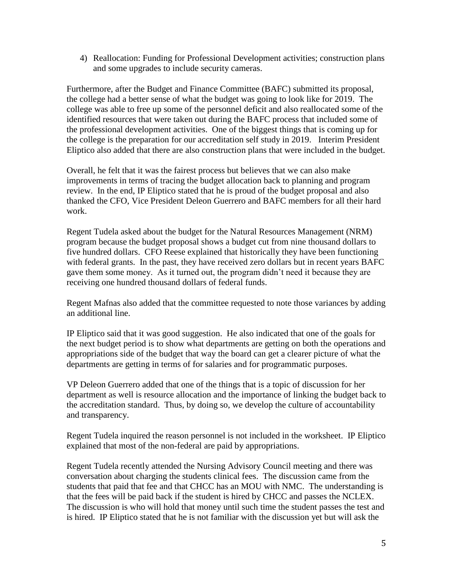4) Reallocation: Funding for Professional Development activities; construction plans and some upgrades to include security cameras.

Furthermore, after the Budget and Finance Committee (BAFC) submitted its proposal, the college had a better sense of what the budget was going to look like for 2019. The college was able to free up some of the personnel deficit and also reallocated some of the identified resources that were taken out during the BAFC process that included some of the professional development activities. One of the biggest things that is coming up for the college is the preparation for our accreditation self study in 2019. Interim President Eliptico also added that there are also construction plans that were included in the budget.

Overall, he felt that it was the fairest process but believes that we can also make improvements in terms of tracing the budget allocation back to planning and program review. In the end, IP Eliptico stated that he is proud of the budget proposal and also thanked the CFO, Vice President Deleon Guerrero and BAFC members for all their hard work.

Regent Tudela asked about the budget for the Natural Resources Management (NRM) program because the budget proposal shows a budget cut from nine thousand dollars to five hundred dollars. CFO Reese explained that historically they have been functioning with federal grants. In the past, they have received zero dollars but in recent years BAFC gave them some money. As it turned out, the program didn't need it because they are receiving one hundred thousand dollars of federal funds.

Regent Mafnas also added that the committee requested to note those variances by adding an additional line.

IP Eliptico said that it was good suggestion. He also indicated that one of the goals for the next budget period is to show what departments are getting on both the operations and appropriations side of the budget that way the board can get a clearer picture of what the departments are getting in terms of for salaries and for programmatic purposes.

VP Deleon Guerrero added that one of the things that is a topic of discussion for her department as well is resource allocation and the importance of linking the budget back to the accreditation standard. Thus, by doing so, we develop the culture of accountability and transparency.

Regent Tudela inquired the reason personnel is not included in the worksheet. IP Eliptico explained that most of the non-federal are paid by appropriations.

Regent Tudela recently attended the Nursing Advisory Council meeting and there was conversation about charging the students clinical fees. The discussion came from the students that paid that fee and that CHCC has an MOU with NMC. The understanding is that the fees will be paid back if the student is hired by CHCC and passes the NCLEX. The discussion is who will hold that money until such time the student passes the test and is hired. IP Eliptico stated that he is not familiar with the discussion yet but will ask the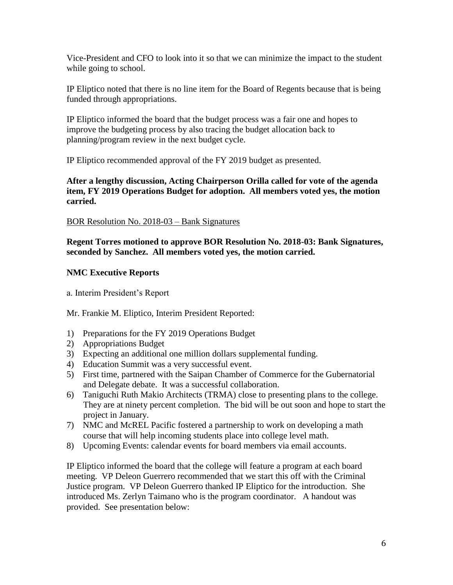Vice-President and CFO to look into it so that we can minimize the impact to the student while going to school.

IP Eliptico noted that there is no line item for the Board of Regents because that is being funded through appropriations.

IP Eliptico informed the board that the budget process was a fair one and hopes to improve the budgeting process by also tracing the budget allocation back to planning/program review in the next budget cycle.

IP Eliptico recommended approval of the FY 2019 budget as presented.

**After a lengthy discussion, Acting Chairperson Orilla called for vote of the agenda item, FY 2019 Operations Budget for adoption. All members voted yes, the motion carried.** 

BOR Resolution No. 2018-03 – Bank Signatures

**Regent Torres motioned to approve BOR Resolution No. 2018-03: Bank Signatures, seconded by Sanchez. All members voted yes, the motion carried.** 

## **NMC Executive Reports**

a. Interim President's Report

Mr. Frankie M. Eliptico, Interim President Reported:

- 1) Preparations for the FY 2019 Operations Budget
- 2) Appropriations Budget
- 3) Expecting an additional one million dollars supplemental funding.
- 4) Education Summit was a very successful event.
- 5) First time, partnered with the Saipan Chamber of Commerce for the Gubernatorial and Delegate debate. It was a successful collaboration.
- 6) Taniguchi Ruth Makio Architects (TRMA) close to presenting plans to the college. They are at ninety percent completion. The bid will be out soon and hope to start the project in January.
- 7) NMC and McREL Pacific fostered a partnership to work on developing a math course that will help incoming students place into college level math.
- 8) Upcoming Events: calendar events for board members via email accounts.

IP Eliptico informed the board that the college will feature a program at each board meeting. VP Deleon Guerrero recommended that we start this off with the Criminal Justice program. VP Deleon Guerrero thanked IP Eliptico for the introduction. She introduced Ms. Zerlyn Taimano who is the program coordinator. A handout was provided. See presentation below: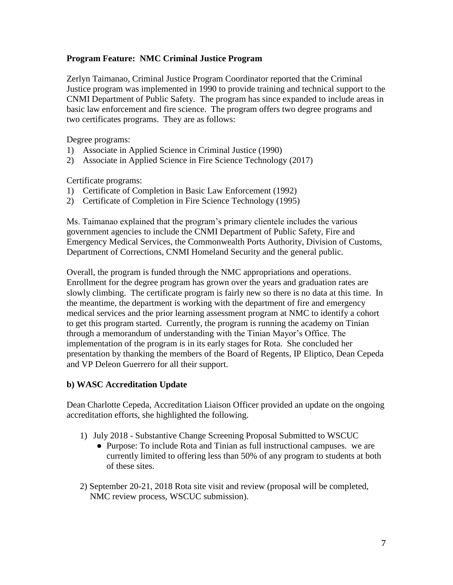### **Program Feature: NMC Criminal Justice Program**

Zerlyn Taimanao, Criminal Justice Program Coordinator reported that the Criminal Justice program was implemented in 1990 to provide training and technical support to the CNMI Department of Public Safety. The program has since expanded to include areas in basic law enforcement and fire science. The program offers two degree programs and two certificates programs. They are as follows:

Degree programs:

- 1) Associate in Applied Science in Criminal Justice (1990)
- 2) Associate in Applied Science in Fire Science Technology (2017)

Certificate programs:

- 1) Certificate of Completion in Basic Law Enforcement (1992)
- 2) Certificate of Completion in Fire Science Technology (1995)

Ms. Taimanao explained that the program's primary clientele includes the various government agencies to include the CNMI Department of Public Safety, Fire and Emergency Medical Services, the Commonwealth Ports Authority, Division of Customs, Department of Corrections, CNMI Homeland Security and the general public.

Overall, the program is funded through the NMC appropriations and operations. Enrollment for the degree program has grown over the years and graduation rates are slowly climbing. The certificate program is fairly new so there is no data at this time. In the meantime, the department is working with the department of fire and emergency medical services and the prior learning assessment program at NMC to identify a cohort to get this program started. Currently, the program is running the academy on Tinian through a memorandum of understanding with the Tinian Mayor's Office. The implementation of the program is in its early stages for Rota. She concluded her presentation by thanking the members of the Board of Regents, IP Eliptico, Dean Cepeda and VP Deleon Guerrero for all their support.

### **b) WASC Accreditation Update**

Dean Charlotte Cepeda, Accreditation Liaison Officer provided an update on the ongoing accreditation efforts, she highlighted the following.

- 1) July 2018 Substantive Change Screening Proposal Submitted to WSCUC
	- Purpose: To include Rota and Tinian as full instructional campuses. we are currently limited to offering less than 50% of any program to students at both of these sites.
- 2) September 20-21, 2018 Rota site visit and review (proposal will be completed, NMC review process, WSCUC submission).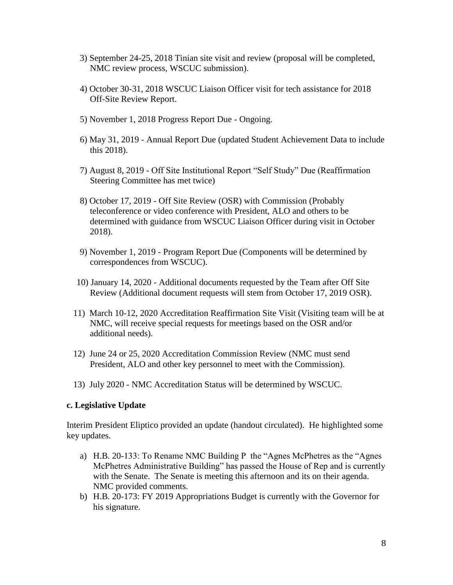- 3) September 24-25, 2018 Tinian site visit and review (proposal will be completed, NMC review process, WSCUC submission).
- 4) October 30-31, 2018 WSCUC Liaison Officer visit for tech assistance for 2018 Off-Site Review Report.
- 5) November 1, 2018 Progress Report Due Ongoing.
- 6) May 31, 2019 Annual Report Due (updated Student Achievement Data to include this 2018).
- 7) August 8, 2019 Off Site Institutional Report "Self Study" Due (Reaffirmation Steering Committee has met twice)
- 8) October 17, 2019 Off Site Review (OSR) with Commission (Probably teleconference or video conference with President, ALO and others to be determined with guidance from WSCUC Liaison Officer during visit in October 2018).
- 9) November 1, 2019 Program Report Due (Components will be determined by correspondences from WSCUC).
- 10) January 14, 2020 Additional documents requested by the Team after Off Site Review (Additional document requests will stem from October 17, 2019 OSR).
- 11) March 10-12, 2020 Accreditation Reaffirmation Site Visit (Visiting team will be at NMC, will receive special requests for meetings based on the OSR and/or additional needs).
- 12) June 24 or 25, 2020 Accreditation Commission Review (NMC must send President, ALO and other key personnel to meet with the Commission).
- 13) July 2020 NMC Accreditation Status will be determined by WSCUC.

## **c. Legislative Update**

Interim President Eliptico provided an update (handout circulated). He highlighted some key updates.

- a) H.B. 20-133: To Rename NMC Building P the "Agnes McPhetres as the "Agnes McPhetres Administrative Building" has passed the House of Rep and is currently with the Senate. The Senate is meeting this afternoon and its on their agenda. NMC provided comments.
- b) H.B. 20-173: FY 2019 Appropriations Budget is currently with the Governor for his signature.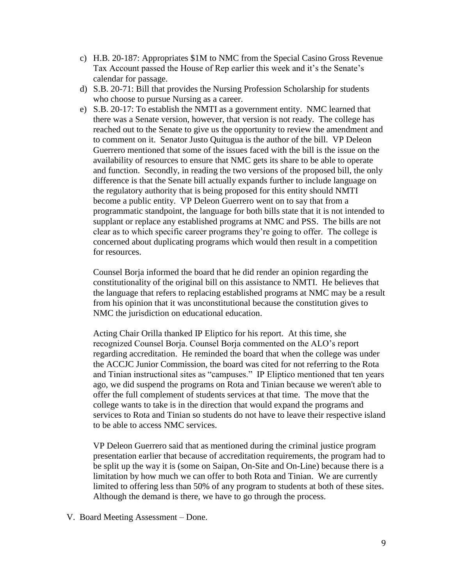- c) H.B. 20-187: Appropriates \$1M to NMC from the Special Casino Gross Revenue Tax Account passed the House of Rep earlier this week and it's the Senate's calendar for passage.
- d) S.B. 20-71: Bill that provides the Nursing Profession Scholarship for students who choose to pursue Nursing as a career.
- e) S.B. 20-17: To establish the NMTI as a government entity. NMC learned that there was a Senate version, however, that version is not ready. The college has reached out to the Senate to give us the opportunity to review the amendment and to comment on it. Senator Justo Quitugua is the author of the bill. VP Deleon Guerrero mentioned that some of the issues faced with the bill is the issue on the availability of resources to ensure that NMC gets its share to be able to operate and function. Secondly, in reading the two versions of the proposed bill, the only difference is that the Senate bill actually expands further to include language on the regulatory authority that is being proposed for this entity should NMTI become a public entity. VP Deleon Guerrero went on to say that from a programmatic standpoint, the language for both bills state that it is not intended to supplant or replace any established programs at NMC and PSS. The bills are not clear as to which specific career programs they're going to offer. The college is concerned about duplicating programs which would then result in a competition for resources.

Counsel Borja informed the board that he did render an opinion regarding the constitutionality of the original bill on this assistance to NMTI. He believes that the language that refers to replacing established programs at NMC may be a result from his opinion that it was unconstitutional because the constitution gives to NMC the jurisdiction on educational education.

Acting Chair Orilla thanked IP Eliptico for his report. At this time, she recognized Counsel Borja. Counsel Borja commented on the ALO's report regarding accreditation. He reminded the board that when the college was under the ACCJC Junior Commission, the board was cited for not referring to the Rota and Tinian instructional sites as "campuses." IP Eliptico mentioned that ten years ago, we did suspend the programs on Rota and Tinian because we weren't able to offer the full complement of students services at that time. The move that the college wants to take is in the direction that would expand the programs and services to Rota and Tinian so students do not have to leave their respective island to be able to access NMC services.

VP Deleon Guerrero said that as mentioned during the criminal justice program presentation earlier that because of accreditation requirements, the program had to be split up the way it is (some on Saipan, On-Site and On-Line) because there is a limitation by how much we can offer to both Rota and Tinian. We are currently limited to offering less than 50% of any program to students at both of these sites. Although the demand is there, we have to go through the process.

V. Board Meeting Assessment – Done.